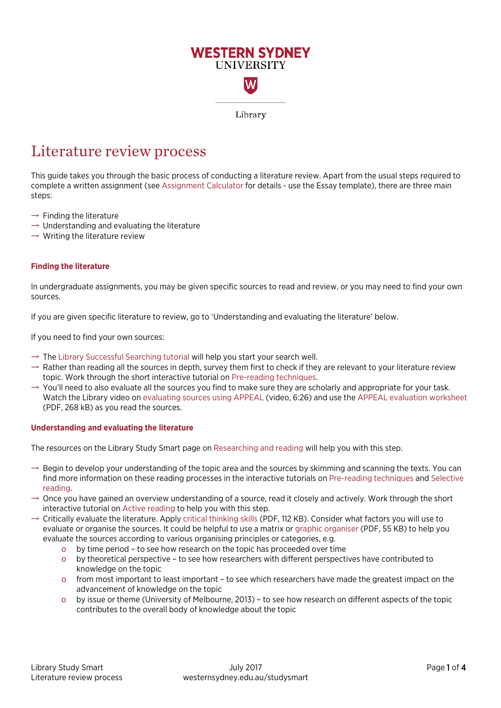

Library

# Literature review process

This guide takes you through the basic process of conducting a literature review. Apart from the usual steps required to complete a written assignment (se[e Assignment Calculator](http://library.westernsydney.edu.au/assignmentcalculator/) for details - use the Essay template), there are three main steps:

- $\rightarrow$  Finding the literature
- $\rightarrow$  Understanding and evaluating the literature
- $\rightarrow$  Writing the literature review

# **Finding the literature**

In undergraduate assignments, you may be given specific sources to read and review, or you may need to find your own sources.

If you are given specific literature to review, go to 'Understanding and evaluating the literature' below.

If you need to find your own sources:

- $\rightarrow$  The [Library Successful Searching tutorial](http://library.westernsydney.edu.au/main/guides/online-tutorials/successful-searching) will help you start your search well.
- $\rightarrow$  Rather than reading all the sources in depth, survey them first to check if they are relevant to your literature review topic. Work through the short interactive tutorial on [Pre-reading techniques.](https://library.westernsydney.edu.au/al_prereading/story.html)
- $\rightarrow$  You'll need to also evaluate all the sources you find to make sure they are scholarly and appropriate for your task. Watch the Library video on [evaluating sources using APPEAL](http://handle.westernsydney.edu.au:8081/1959.7/LIB-APPRES) (video, 6:26) and use the [APPEAL evaluation worksheet](http://www.westernsydney.edu.au/__data/assets/pdf_file/0004/1237963/APPEAL_worksheet_form.pdf) (PDF, 268 kB) as you read the sources.

# **Understanding and evaluating the literature**

The resources on the Library Study Smart page on [Researching and reading](https://westernsydney.edu.au/studysmart/home/assignment_help/researching_and_reading) will help you with this step.

- $\rightarrow$  Begin to develop your understanding of the topic area and the sources by skimming and scanning the texts. You can find more information on these reading processes in the interactive tutorials o[n Pre-reading techniques](https://library.westernsydney.edu.au/al_prereading/story.html) an[d Selective](https://library.westernsydney.edu.au/al_selectivereading/story.html)  [reading.](https://library.westernsydney.edu.au/al_selectivereading/story.html)
- $\rightarrow$  Once you have gained an overview understanding of a source, read it closely and actively. Work through the short interactive tutorial o[n Active reading](https://library.westernsydney.edu.au/al_activereading/story.html) to help you with this step.
- $\rightarrow$  Critically evaluate the literature. Apply [critical thinking skills](https://westernsydney.edu.au/__data/assets/pdf_file/0006/1082382/Critical_Thinking.pdf) (PDF, 112 KB). Consider what factors you will use to evaluate or organise the sources. It could be helpful to use a matrix or [graphic organiser](https://www.westernsydney.edu.au/__data/assets/pdf_file/0009/1249371/Reading_graphic_organiser.pdf) (PDF, 55 KB) to help you evaluate the sources according to various organising principles or categories, e.g.
	- o by time period to see how research on the topic has proceeded over time
	- o by theoretical perspective to see how researchers with different perspectives have contributed to knowledge on the topic
	- $\circ$  from most important to least important to see which researchers have made the greatest impact on the advancement of knowledge on the topic
	- o by issue or theme (University of Melbourne, 2013) to see how research on different aspects of the topic contributes to the overall body of knowledge about the topic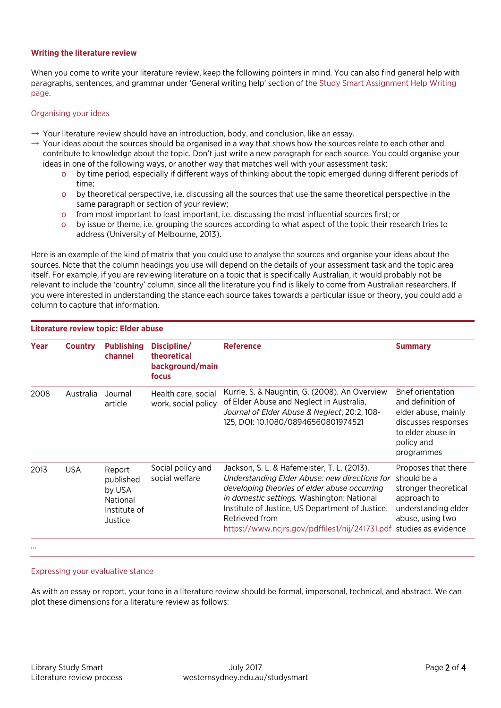#### **Writing the literature review**

When you come to write your literature review, keep the following pointers in mind. You can also find general help with paragraphs, sentences, and grammar under 'General writing help' section of the [Study Smart Assignment Help Writing](https://westernsydney.edu.au/studysmart/home/assignment_help/writing)  [page.](https://westernsydney.edu.au/studysmart/home/assignment_help/writing)

### Organising your ideas

- $\rightarrow$  Your literature review should have an introduction, body, and conclusion, like an essay.
- $\rightarrow$  Your ideas about the sources should be organised in a way that shows how the sources relate to each other and contribute to knowledge about the topic. Don't just write a new paragraph for each source. You could organise your ideas in one of the following ways, or another way that matches well with your assessment task:
	- o by time period, especially if different ways of thinking about the topic emerged during different periods of time;
	- o by theoretical perspective, i.e. discussing all the sources that use the same theoretical perspective in the same paragraph or section of your review;
	- o from most important to least important, i.e. discussing the most influential sources first; or
	- o by issue or theme, i.e. grouping the sources according to what aspect of the topic their research tries to address (University of Melbourne, 2013).

Here is an example of the kind of matrix that you could use to analyse the sources and organise your ideas about the sources. Note that the column headings you use will depend on the details of your assessment task and the topic area itself. For example, if you are reviewing literature on a topic that is specifically Australian, it would probably not be relevant to include the 'country' column, since all the literature you find is likely to come from Australian researchers. If you were interested in understanding the stance each source takes towards a particular issue or theory, you could add a column to capture that information.

| Literature review topic: Elder abuse |                |                                                                      |                                                        |                                                                                                                                                                                                                                                                                                                                       |                                                                                                                                              |
|--------------------------------------|----------------|----------------------------------------------------------------------|--------------------------------------------------------|---------------------------------------------------------------------------------------------------------------------------------------------------------------------------------------------------------------------------------------------------------------------------------------------------------------------------------------|----------------------------------------------------------------------------------------------------------------------------------------------|
| Year                                 | <b>Country</b> | <b>Publishing</b><br>channel                                         | Discipline/<br>theoretical<br>background/main<br>focus | <b>Reference</b>                                                                                                                                                                                                                                                                                                                      | <b>Summary</b>                                                                                                                               |
| 2008                                 | Australia      | Journal<br>article                                                   | Health care, social<br>work, social policy             | Kurrle, S. & Naughtin, G. (2008). An Overview<br>of Elder Abuse and Neglect in Australia,<br>Journal of Elder Abuse & Neglect, 20:2, 108-<br>125, DOI: 10.1080/08946560801974521                                                                                                                                                      | <b>Brief orientation</b><br>and definition of<br>elder abuse, mainly<br>discusses responses<br>to elder abuse in<br>policy and<br>programmes |
| 2013                                 | <b>USA</b>     | Report<br>published<br>by USA<br>National<br>Institute of<br>Justice | Social policy and<br>social welfare                    | Jackson, S. L. & Hafemeister, T. L. (2013).<br>Understanding Elder Abuse: new directions for<br>developing theories of elder abuse occurring<br>in domestic settings. Washington: National<br>Institute of Justice, US Department of Justice.<br>Retrieved from<br>https://www.ncjrs.gov/pdffiles1/nij/241731.pdf studies as evidence | Proposes that there<br>should be a<br>stronger theoretical<br>approach to<br>understanding elder<br>abuse, using two                         |

…

# Expressing your evaluative stance

As with an essay or report, your tone in a literature review should be formal, impersonal, technical, and abstract. We can plot these dimensions for a literature review as follows: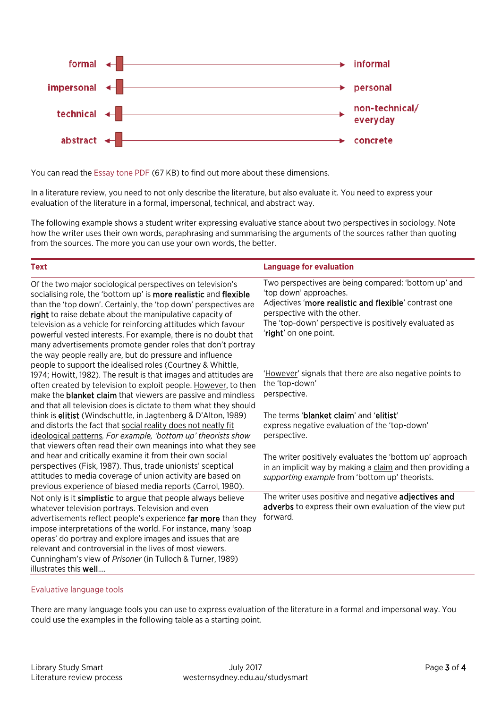

You can read th[e Essay tone PDF](https://westernsydney.edu.au/__data/assets/pdf_file/0006/1082508/Essay_Tone.pdf) (67 KB) to find out more about these dimensions.

In a literature review, you need to not only describe the literature, but also evaluate it. You need to express your evaluation of the literature in a formal, impersonal, technical, and abstract way.

The following example shows a student writer expressing evaluative stance about two perspectives in sociology. Note how the writer uses their own words, paraphrasing and summarising the arguments of the sources rather than quoting from the sources. The more you can use your own words, the better.

| <b>Text</b>                                                                                                                                                                                                                                                                                                                                                                                                                                                                                                                  | <b>Language for evaluation</b>                                                                                                                                                                                                                           |
|------------------------------------------------------------------------------------------------------------------------------------------------------------------------------------------------------------------------------------------------------------------------------------------------------------------------------------------------------------------------------------------------------------------------------------------------------------------------------------------------------------------------------|----------------------------------------------------------------------------------------------------------------------------------------------------------------------------------------------------------------------------------------------------------|
| Of the two major sociological perspectives on television's<br>socialising role, the 'bottom up' is more realistic and flexible<br>than the 'top down'. Certainly, the 'top down' perspectives are<br>right to raise debate about the manipulative capacity of<br>television as a vehicle for reinforcing attitudes which favour<br>powerful vested interests. For example, there is no doubt that<br>many advertisements promote gender roles that don't portray<br>the way people really are, but do pressure and influence | Two perspectives are being compared: 'bottom up' and<br>'top down' approaches.<br>Adjectives 'more realistic and flexible' contrast one<br>perspective with the other.<br>The 'top-down' perspective is positively evaluated as<br>'right' on one point. |
| people to support the idealised roles (Courtney & Whittle,<br>1974; Howitt, 1982). The result is that images and attitudes are<br>often created by television to exploit people. However, to then<br>make the <b>blanket claim</b> that viewers are passive and mindless<br>and that all television does is dictate to them what they should                                                                                                                                                                                 | 'However' signals that there are also negative points to<br>the 'top-down'<br>perspective.                                                                                                                                                               |
| think is elitist (Windschuttle, in Jagtenberg & D'Alton, 1989)<br>and distorts the fact that social reality does not neatly fit<br>ideological patterns. For example, 'bottom up' theorists show<br>that viewers often read their own meanings into what they see                                                                                                                                                                                                                                                            | The terms 'blanket claim' and 'elitist'<br>express negative evaluation of the 'top-down'<br>perspective.                                                                                                                                                 |
| and hear and critically examine it from their own social<br>perspectives (Fisk, 1987). Thus, trade unionists' sceptical<br>attitudes to media coverage of union activity are based on<br>previous experience of biased media reports (Carrol, 1980).                                                                                                                                                                                                                                                                         | The writer positively evaluates the 'bottom up' approach<br>in an implicit way by making a claim and then providing a<br>supporting example from 'bottom up' theorists.                                                                                  |
| Not only is it simplistic to argue that people always believe<br>whatever television portrays. Television and even<br>advertisements reflect people's experience far more than they<br>impose interpretations of the world. For instance, many 'soap<br>operas' do portray and explore images and issues that are<br>relevant and controversial in the lives of most viewers.<br>Cunningham's view of Prisoner (in Tulloch & Turner, 1989)<br>illustrates this well                                                          | The writer uses positive and negative adjectives and<br>adverbs to express their own evaluation of the view put<br>forward.                                                                                                                              |

#### Evaluative language tools

There are many language tools you can use to express evaluation of the literature in a formal and impersonal way. You could use the examples in the following table as a starting point.